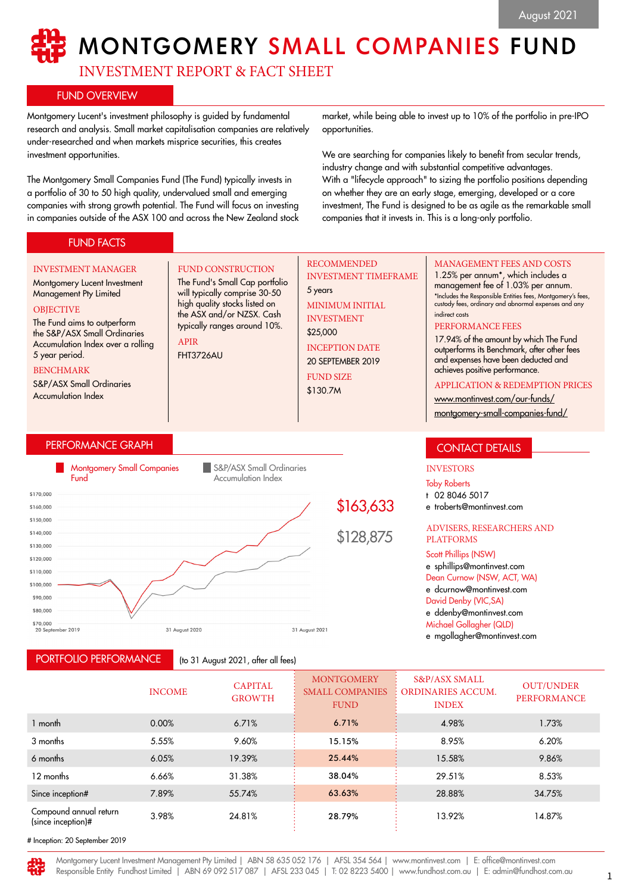# MONTGOMERY SMALL COMPANIES FUND

INVESTMENT REPORT & FACT SHEET

FUND CONSTRUCTION The Fund's Small Cap portfolio will typically comprise 30-50 high quality stocks listed on the ASX and/or NZSX. Cash typically ranges around 10%.

# FUND OVERVIEW

Montgomery Lucent's investment philosophy is guided by fundamental research and analysis. Small market capitalisation companies are relatively under-researched and when markets misprice securities, this creates investment opportunities.

The Montgomery Small Companies Fund (The Fund) typically invests in a portfolio of 30 to 50 high quality, undervalued small and emerging companies with strong growth potential. The Fund will focus on investing in companies outside of the ASX 100 and across the New Zealand stock

market, while being able to invest up to 10% of the portfolio in pre-IPO opportunities.

We are searching for companies likely to benefit from secular trends, industry change and with substantial competitive advantages. With a "lifecycle approach" to sizing the portfolio positions depending on whether they are an early stage, emerging, developed or a core investment, The Fund is designed to be as agile as the remarkable small companies that it invests in. This is a long-only portfolio.

# FUND FACTS

#### INVESTMENT MANAGER

## Montgomery Lucent Investment Management Pty Limited

#### **OBJECTIVE**

The Fund aims to outperform the S&P/ASX Small Ordinaries Accumulation Index over a rolling 5 year period.

#### BENCHMARK

S&P/ASX Small Ordinaries Accumulation Index

# PERFORMANCE GRAPH



APIR FHT3726AU

# PORTFOLIO PERFORMANCE

(to 31 August 2021, after all fees)

## RECOMMENDED INVESTMENT TIMEFRAME

5 years MINIMUM INITIAL INVESTMENT \$25,000 INCEPTION DATE 20 SEPTEMBER 2019 FUND SIZE \$130.7M

# MANAGEMENT FEES AND COSTS

1.25% per annum\*, which includes a management fee of 1.03% per annum. \*Includes the Responsible Entities fees, Montgomery's fees, custody fees, ordinary and abnormal expenses and any indirect costs

## PERFORMANCE FEES

17.94% of the amount by which The Fund outperforms its Benchmark, after other fees and expenses have been deducted and achieves positive performance.

## APPLICATION & REDEMPTION PRICES

[www.montinvest.com/our-funds/](http://www.montinvest.com/our-funds/montgomery-small-companies-fund/) [montgomery-small-companies-fund/](http://www.montinvest.com/our-funds/montgomery-small-companies-fund/)

# CONTACT DETAILS

# INVESTORS

Toby Roberts

- t 02 8046 5017
- e troberts@montinvest.com

## ADVISERS, RESEARCHERS AND PLATFORMS

Scott Phillips (NSW) e sphillips@montinvest.com

Dean Curnow (NSW, ACT, WA) e dcurnow@montinvest.com David Denby (VIC,SA)

e ddenby@montinvest.com

Michael Gollagher (QLD)

e mgollagher@montinvest.com

|                                              | <b>INCOME</b> | <b>CAPITAL</b><br><b>GROWTH</b> | <b>MONTGOMERY</b><br><b>SMALL COMPANIES</b><br><b>FUND</b> | <b>S&amp;P/ASX SMALL</b><br><b>ORDINARIES ACCUM.</b><br><b>INDEX</b> | <b>OUT/UNDER</b><br><b>PERFORMANCE</b> |
|----------------------------------------------|---------------|---------------------------------|------------------------------------------------------------|----------------------------------------------------------------------|----------------------------------------|
| 1 month                                      | 0.00%         | 6.71%                           | 6.71%                                                      | 4.98%                                                                | 1.73%                                  |
| 3 months                                     | 5.55%         | 9.60%                           | 15.15%                                                     | 8.95%                                                                | 6.20%                                  |
| 6 months                                     | 6.05%         | 19.39%                          | 25.44%                                                     | 15.58%                                                               | 9.86%                                  |
| 12 months                                    | 6.66%         | 31.38%                          | 38.04%                                                     | 29.51%                                                               | 8.53%                                  |
| Since inception#                             | 7.89%         | 55.74%                          | 63.63%                                                     | 28.88%                                                               | 34.75%                                 |
| Compound annual return<br>(since inception)# | 3.98%         | 24.81%                          | 28.79%                                                     | 13.92%                                                               | 14.87%                                 |

# Inception: 20 September 2019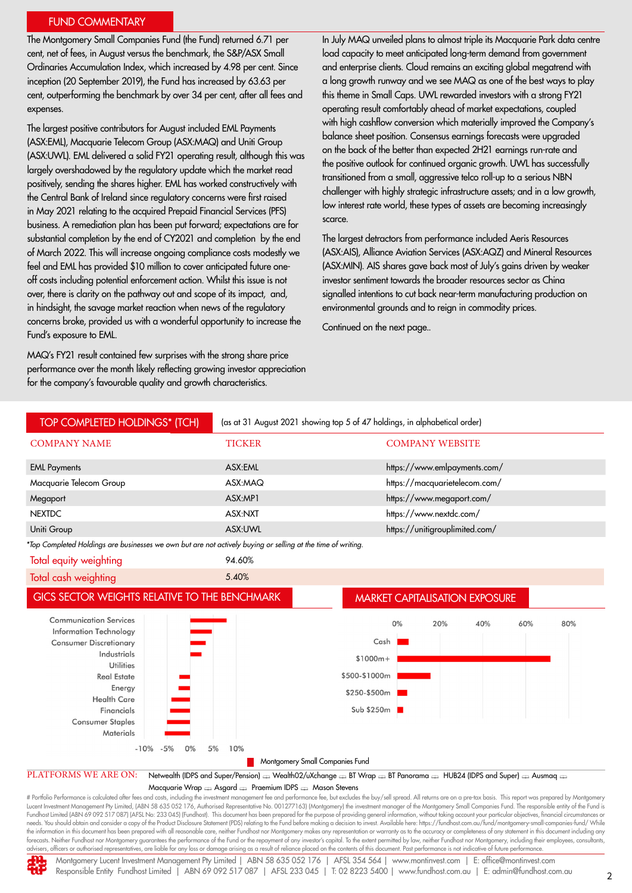## FUND COMMENTARY

The Montgomery Small Companies Fund (the Fund) returned 6.71 per cent, net of fees, in August versus the benchmark, the S&P/ASX Small Ordinaries Accumulation Index, which increased by 4.98 per cent. Since inception (20 September 2019), the Fund has increased by 63.63 per cent, outperforming the benchmark by over 34 per cent, after all fees and expenses.

The largest positive contributors for August included EML Payments (ASX:EML), Macquarie Telecom Group (ASX:MAQ) and Uniti Group (ASX:UWL). EML delivered a solid FY21 operating result, although this was largely overshadowed by the regulatory update which the market read positively, sending the shares higher. EML has worked constructively with the Central Bank of Ireland since regulatory concerns were first raised in May 2021 relating to the acquired Prepaid Financial Services (PFS) business. A remediation plan has been put forward; expectations are for substantial completion by the end of CY2021 and completion by the end of March 2022. This will increase ongoing compliance costs modestly we feel and EML has provided \$10 million to cover anticipated future oneoff costs including potential enforcement action. Whilst this issue is not over, there is clarity on the pathway out and scope of its impact, and, in hindsight, the savage market reaction when news of the regulatory concerns broke, provided us with a wonderful opportunity to increase the Fund's exposure to EML.

MAQ's FY21 result contained few surprises with the strong share price performance over the month likely reflecting growing investor appreciation for the company's favourable quality and growth characteristics.

In July MAQ unveiled plans to almost triple its Macquarie Park data centre load capacity to meet anticipated long-term demand from government and enterprise clients. Cloud remains an exciting global megatrend with a long growth runway and we see MAQ as one of the best ways to play this theme in Small Caps. UWL rewarded investors with a strong FY21 operating result comfortably ahead of market expectations, coupled with high cashflow conversion which materially improved the Company's balance sheet position. Consensus earnings forecasts were upgraded on the back of the better than expected 2H21 earnings run-rate and the positive outlook for continued organic growth. UWL has successfully transitioned from a small, aggressive telco roll-up to a serious NBN challenger with highly strategic infrastructure assets; and in a low growth, low interest rate world, these types of assets are becoming increasingly scarce.

The largest detractors from performance included Aeris Resources (ASX:AIS), Alliance Aviation Services (ASX:AQZ) and Mineral Resources (ASX:MIN). AIS shares gave back most of July's gains driven by weaker investor sentiment towards the broader resources sector as China signalled intentions to cut back near-term manufacturing production on environmental grounds and to reign in commodity prices.

Continued on the next page..



needs. You should obtain and consider a copy of the Product Disclosure Statement (PDS) relating to the Fund before making a decision to invest. Available here: https://fundhost.com.au/fund/montgomery-small-companies-fund/ the information in this document has been prepared with all reasonable care, neither Fundhost nor Montgomery makes any representation or warranty as to the accuracy or completeness of any statement in this document includi advisers, officers or authorised representatives, are liable for any loss or damage arising as a result of reliance placed on the contents of this document. Past performance is not indicative of future performance.